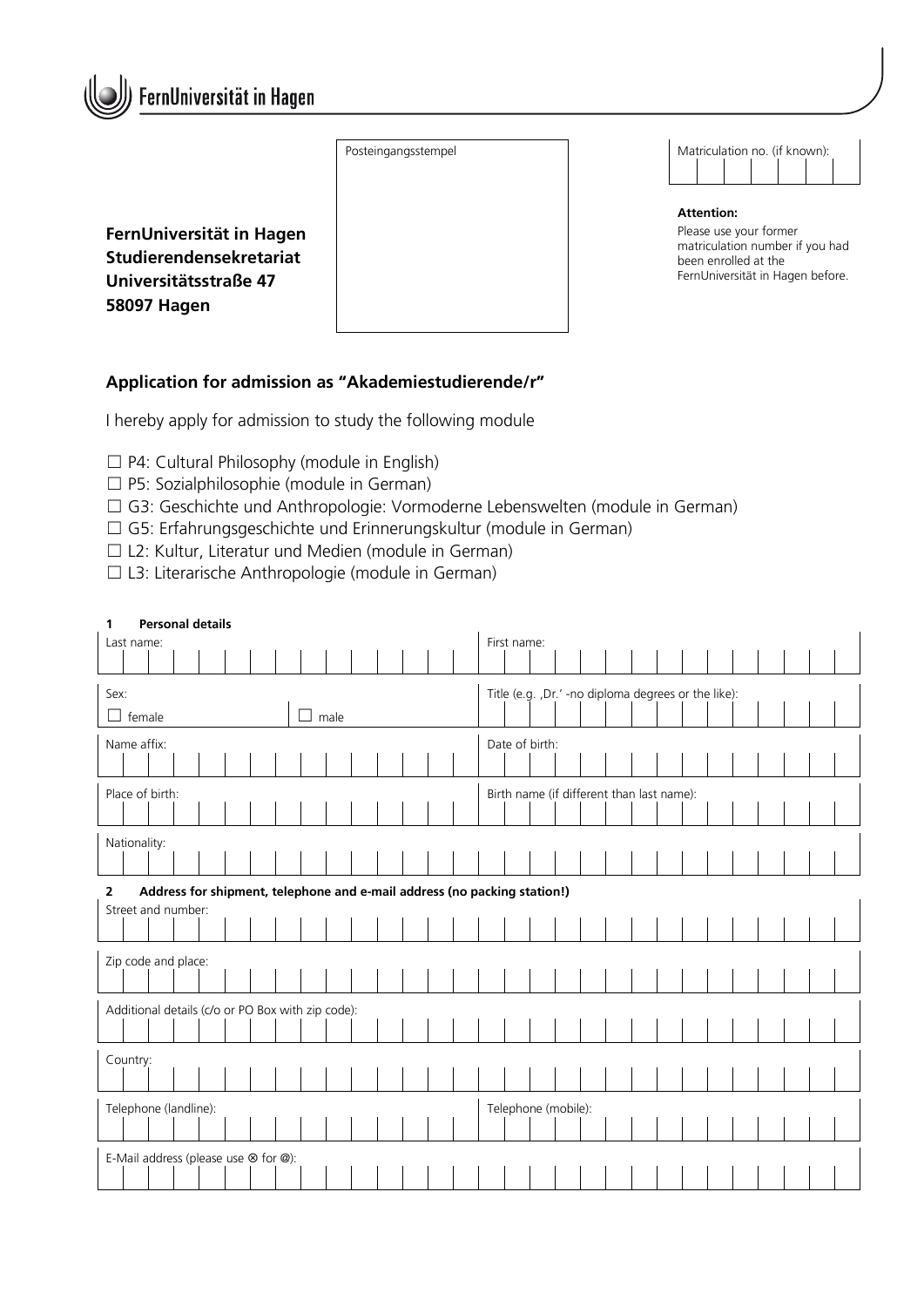

Posteingangsstempel

| Matriculation no. (if known): |  |  |  |  |  |  |  |  |  |  |  |  |
|-------------------------------|--|--|--|--|--|--|--|--|--|--|--|--|
|                               |  |  |  |  |  |  |  |  |  |  |  |  |

**FernUniversität in Hagen Studierendensekretariat Universitätsstraße 47 58097 Hagen**

| <b>Attention:</b> |  |
|-------------------|--|
|                   |  |

Please use your former matriculation number if you had been enrolled at the FernUniversität in Hagen before.

## **Application for admission as "Akademiestudierende/r"**

I hereby apply for admission to study the following module

- ☐ P4: Cultural Philosophy (module in English)
- ☐ P5: Sozialphilosophie (module in German)
- ☐ G3: Geschichte und Anthropologie: Vormoderne Lebenswelten (module in German)
- ☐ G5: Erfahrungsgeschichte und Erinnerungskultur (module in German)
- ☐ L2: Kultur, Literatur und Medien (module in German)
- ☐ L3: Literarische Anthropologie (module in German)

| <b>Personal details</b><br>1                      |                                                                          |  |  |  |  |  |  |                     |                                                     |  |  |  |  |  |                                           |             |  |  |  |  |  |  |  |  |  |  |  |  |
|---------------------------------------------------|--------------------------------------------------------------------------|--|--|--|--|--|--|---------------------|-----------------------------------------------------|--|--|--|--|--|-------------------------------------------|-------------|--|--|--|--|--|--|--|--|--|--|--|--|
| Last name:                                        |                                                                          |  |  |  |  |  |  |                     |                                                     |  |  |  |  |  |                                           | First name: |  |  |  |  |  |  |  |  |  |  |  |  |
|                                                   |                                                                          |  |  |  |  |  |  |                     |                                                     |  |  |  |  |  |                                           |             |  |  |  |  |  |  |  |  |  |  |  |  |
| Sex:                                              |                                                                          |  |  |  |  |  |  |                     | Title (e.g. ,Dr.' -no diploma degrees or the like): |  |  |  |  |  |                                           |             |  |  |  |  |  |  |  |  |  |  |  |  |
|                                                   | $\Box$ female                                                            |  |  |  |  |  |  |                     | male                                                |  |  |  |  |  |                                           |             |  |  |  |  |  |  |  |  |  |  |  |  |
| Name affix:                                       |                                                                          |  |  |  |  |  |  |                     | Date of birth:                                      |  |  |  |  |  |                                           |             |  |  |  |  |  |  |  |  |  |  |  |  |
|                                                   |                                                                          |  |  |  |  |  |  |                     |                                                     |  |  |  |  |  |                                           |             |  |  |  |  |  |  |  |  |  |  |  |  |
| Place of birth:                                   |                                                                          |  |  |  |  |  |  |                     |                                                     |  |  |  |  |  | Birth name (if different than last name): |             |  |  |  |  |  |  |  |  |  |  |  |  |
|                                                   |                                                                          |  |  |  |  |  |  |                     |                                                     |  |  |  |  |  |                                           |             |  |  |  |  |  |  |  |  |  |  |  |  |
| Nationality:                                      |                                                                          |  |  |  |  |  |  |                     |                                                     |  |  |  |  |  |                                           |             |  |  |  |  |  |  |  |  |  |  |  |  |
|                                                   |                                                                          |  |  |  |  |  |  |                     |                                                     |  |  |  |  |  |                                           |             |  |  |  |  |  |  |  |  |  |  |  |  |
| $\overline{2}$                                    | Address for shipment, telephone and e-mail address (no packing station!) |  |  |  |  |  |  |                     |                                                     |  |  |  |  |  |                                           |             |  |  |  |  |  |  |  |  |  |  |  |  |
|                                                   | Street and number:                                                       |  |  |  |  |  |  |                     |                                                     |  |  |  |  |  |                                           |             |  |  |  |  |  |  |  |  |  |  |  |  |
|                                                   |                                                                          |  |  |  |  |  |  |                     |                                                     |  |  |  |  |  |                                           |             |  |  |  |  |  |  |  |  |  |  |  |  |
| Zip code and place:                               |                                                                          |  |  |  |  |  |  |                     |                                                     |  |  |  |  |  |                                           |             |  |  |  |  |  |  |  |  |  |  |  |  |
|                                                   |                                                                          |  |  |  |  |  |  |                     |                                                     |  |  |  |  |  |                                           |             |  |  |  |  |  |  |  |  |  |  |  |  |
| Additional details (c/o or PO Box with zip code): |                                                                          |  |  |  |  |  |  |                     |                                                     |  |  |  |  |  |                                           |             |  |  |  |  |  |  |  |  |  |  |  |  |
|                                                   |                                                                          |  |  |  |  |  |  |                     |                                                     |  |  |  |  |  |                                           |             |  |  |  |  |  |  |  |  |  |  |  |  |
| Country:                                          |                                                                          |  |  |  |  |  |  |                     |                                                     |  |  |  |  |  |                                           |             |  |  |  |  |  |  |  |  |  |  |  |  |
|                                                   |                                                                          |  |  |  |  |  |  |                     |                                                     |  |  |  |  |  |                                           |             |  |  |  |  |  |  |  |  |  |  |  |  |
| Telephone (landline):                             |                                                                          |  |  |  |  |  |  | Telephone (mobile): |                                                     |  |  |  |  |  |                                           |             |  |  |  |  |  |  |  |  |  |  |  |  |
|                                                   |                                                                          |  |  |  |  |  |  |                     |                                                     |  |  |  |  |  |                                           |             |  |  |  |  |  |  |  |  |  |  |  |  |
|                                                   | E-Mail address (please use $\otimes$ for $\circleda$ ):                  |  |  |  |  |  |  |                     |                                                     |  |  |  |  |  |                                           |             |  |  |  |  |  |  |  |  |  |  |  |  |
|                                                   |                                                                          |  |  |  |  |  |  |                     |                                                     |  |  |  |  |  |                                           |             |  |  |  |  |  |  |  |  |  |  |  |  |